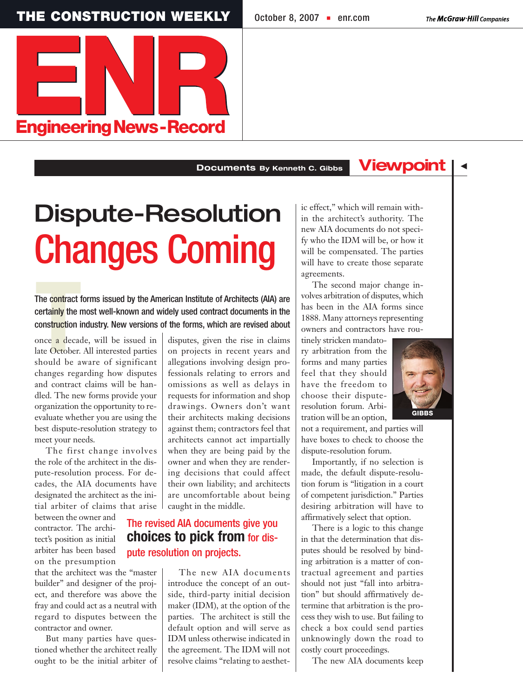**THE CONSTRUCTION WEEKLY October 8, 2007 • [enr.com](www.enr.com)** 

 $\blacktriangleleft$ 



## **Documents By Kenneth C. Gibbs**

## Dispute-Resolution Changes Coming

The contract 1<br>
certainly the r<br>
construction i<br>
once a decadate October.<br>
should be a The contract forms issued by the American Institute of Architects (AIA) are certainly the most well-known and widely used contract documents in the construction industry. New versions of the forms, which are revised about

once a decade, will be issued in late October. All interested parties should be aware of significant changes regarding how disputes and contract claims will be handled. The new forms provide your organization the opportunity to reevaluate whether you are using the best dispute-resolution strategy to meet your needs.

The first change involves the role of the architect in the dispute-resolution process. For decades, the AIA documents have designated the architect as the initial arbiter of claims that arise

between the owner and contractor. The architect's position as initial arbiter has been based on the presumption

that the architect was the "master builder" and designer of the project, and therefore was above the fray and could act as a neutral with regard to disputes between the contractor and owner.

But many parties have questioned whether the architect really ought to be the initial arbiter of disputes, given the rise in claims on projects in recent years and allegations involving design professionals relating to errors and omissions as well as delays in requests for information and shop drawings. Owners don't want their architects making decisions against them; contractors feel that architects cannot act impartially when they are being paid by the owner and when they are rendering decisions that could affect their own liability; and architects are uncomfortable about being caught in the middle.

## The revised AIA documents give you **choices to pick from** for dispute resolution on projects.

The new AIA documents introduce the concept of an outside, third-party initial decision maker (IDM), at the option of the parties. The architect is still the default option and will serve as IDM unless otherwise indicated in the agreement. The IDM will not resolve claims "relating to aesthetic effect," which will remain within the architect's authority. The new AIA documents do not specify who the IDM will be, or how it will be compensated. The parties will have to create those separate agreements.

**Viewpoint**

The second major change involves arbitration of disputes, which has been in the AIA forms since 1888. Many attorneys representing owners and contractors have rou-

tinely stricken mandatory arbitration from the forms and many parties feel that they should have the freedom to choose their disputeresolution forum. Arbitration will be an option,



not a requirement, and parties will have boxes to check to choose the dispute-resolution forum.

Importantly, if no selection is made, the default dispute-resolution forum is "litigation in a court of competent jurisdiction." Parties desiring arbitration will have to affirmatively select that option.

There is a logic to this change in that the determination that disputes should be resolved by binding arbitration is a matter of contractual agreement and parties should not just "fall into arbitration" but should affirmatively determine that arbitration is the process they wish to use. But failing to check a box could send parties unknowingly down the road to costly court proceedings.

The new AIA documents keep